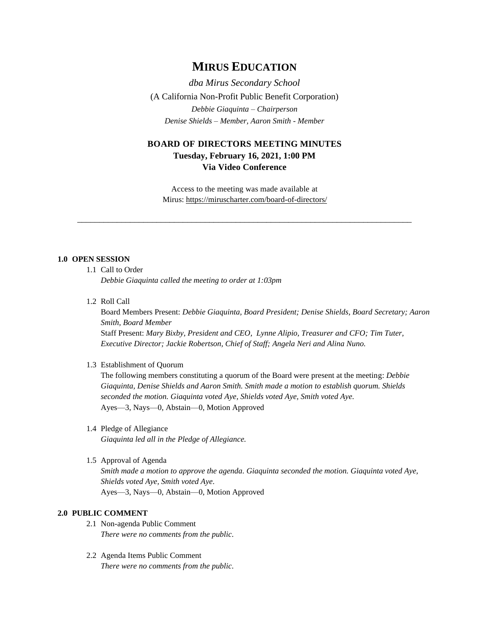# **MIRUS EDUCATION**

*dba Mirus Secondary School* (A California Non-Profit Public Benefit Corporation) *Debbie Giaquinta – Chairperson Denise Shields – Member, Aaron Smith - Member*

# **BOARD OF DIRECTORS MEETING MINUTES Tuesday, February 16, 2021, 1:00 PM Via Video Conference**

Access to the meeting was made available at Mirus:<https://miruscharter.com/board-of-directors/>

\_\_\_\_\_\_\_\_\_\_\_\_\_\_\_\_\_\_\_\_\_\_\_\_\_\_\_\_\_\_\_\_\_\_\_\_\_\_\_\_\_\_\_\_\_\_\_\_\_\_\_\_\_\_\_\_\_\_\_\_\_\_\_\_\_\_\_\_\_\_\_\_\_\_\_\_

#### **1.0 OPEN SESSION**

1.1 Call to Order

*Debbie Giaquinta called the meeting to order at 1:03pm*

1.2 Roll Call

Board Members Present: *Debbie Giaquinta, Board President; Denise Shields, Board Secretary; Aaron Smith, Board Member* Staff Present: *Mary Bixby, President and CEO, Lynne Alipio, Treasurer and CFO; Tim Tuter, Executive Director; Jackie Robertson, Chief of Staff; Angela Neri and Alina Nuno.*

## 1.3 Establishment of Quorum

The following members constituting a quorum of the Board were present at the meeting: *Debbie Giaquinta, Denise Shields and Aaron Smith. Smith made a motion to establish quorum. Shields seconded the motion. Giaquinta voted Aye, Shields voted Aye, Smith voted Aye.* Ayes—3, Nays—0, Abstain—0, Motion Approved

- 1.4 Pledge of Allegiance *Giaquinta led all in the Pledge of Allegiance.*
- 1.5 Approval of Agenda *Smith made a motion to approve the agenda. Giaquinta seconded the motion. Giaquinta voted Aye, Shields voted Aye, Smith voted Aye.*

Ayes—3, Nays—0, Abstain—0, Motion Approved

# **2.0 PUBLIC COMMENT**

- 2.1 Non-agenda Public Comment *There were no comments from the public.*
- 2.2 Agenda Items Public Comment *There were no comments from the public.*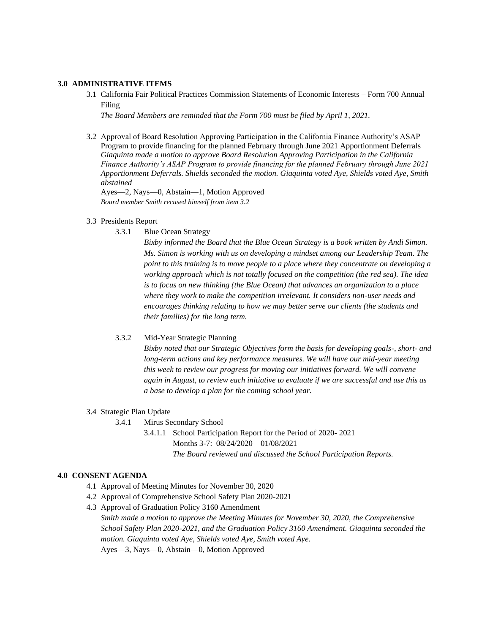# **3.0 ADMINISTRATIVE ITEMS**

3.1 California Fair Political Practices Commission Statements of Economic Interests – Form 700 Annual Filing

*The Board Members are reminded that the Form 700 must be filed by April 1, 2021.* 

3.2 Approval of Board Resolution Approving Participation in the California Finance Authority's ASAP Program to provide financing for the planned February through June 2021 Apportionment Deferrals *Giaquinta made a motion to approve Board Resolution Approving Participation in the California Finance Authority's ASAP Program to provide financing for the planned February through June 2021 Apportionment Deferrals. Shields seconded the motion. Giaquinta voted Aye, Shields voted Aye, Smith abstained*

Ayes—2, Nays—0, Abstain—1, Motion Approved *Board member Smith recused himself from item 3.2*

#### 3.3 Presidents Report

3.3.1 Blue Ocean Strategy

*Bixby informed the Board that the Blue Ocean Strategy is a book written by Andi Simon. Ms. Simon is working with us on developing a mindset among our Leadership Team. The point to this training is to move people to a place where they concentrate on developing a working approach which is not totally focused on the competition (the red sea). The idea is to focus on new thinking (the Blue Ocean) that advances an organization to a place where they work to make the competition irrelevant. It considers non-user needs and encourages thinking relating to how we may better serve our clients (the students and their families) for the long term.*

#### 3.3.2 Mid-Year Strategic Planning

*Bixby noted that our Strategic Objectives form the basis for developing goals-, short- and long-term actions and key performance measures. We will have our mid-year meeting this week to review our progress for moving our initiatives forward. We will convene again in August, to review each initiative to evaluate if we are successful and use this as a base to develop a plan for the coming school year.*

#### 3.4 Strategic Plan Update

3.4.1 Mirus Secondary School

3.4.1.1 School Participation Report for the Period of 2020- 2021 Months 3-7: 08/24/2020 – 01/08/2021 *The Board reviewed and discussed the School Participation Reports.*

### **4.0 CONSENT AGENDA**

- 4.1 Approval of Meeting Minutes for November 30, 2020
- 4.2 Approval of Comprehensive School Safety Plan 2020-2021
- 4.3 Approval of Graduation Policy 3160 Amendment *Smith made a motion to approve the Meeting Minutes for November 30, 2020, the Comprehensive School Safety Plan 2020-2021, and the Graduation Policy 3160 Amendment. Giaquinta seconded the motion. Giaquinta voted Aye, Shields voted Aye, Smith voted Aye.* Ayes—3, Nays—0, Abstain—0, Motion Approved